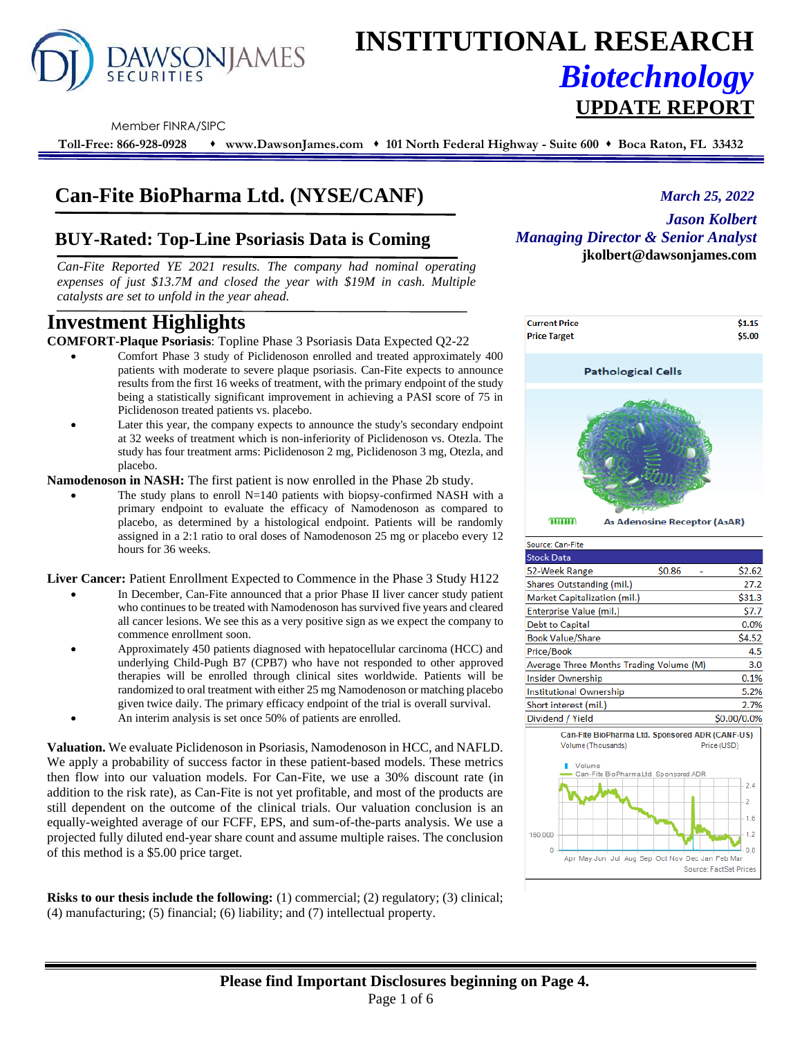

# **INSTITUTIONAL RESEARCH** *Biotechnology* **UPDATE REPORT**

Member FINRA/SIPC

**Toll-Free: 866-928-0928** ⬧ **www.DawsonJames.com** ⬧ **101 North Federal Highway - Suite 600** ⬧ **Boca Raton, FL 33432**

### **Can-Fite BioPharma Ltd. (NYSE/CANF)**

### **BUY-Rated: Top-Line Psoriasis Data is Coming**

*Can-Fite Reported YE 2021 results. The company had nominal operating expenses of just \$13.7M and closed the year with \$19M in cash. Multiple catalysts are set to unfold in the year ahead.*

## **Investment Highlights** *.*

**COMFORT-Plaque Psoriasis**: Topline Phase 3 Psoriasis Data Expected Q2-22

- Comfort Phase 3 study of Piclidenoson enrolled and treated approximately 400 patients with moderate to severe plaque psoriasis. Can-Fite expects to announce results from the first 16 weeks of treatment, with the primary endpoint of the study being a statistically significant improvement in achieving a PASI score of 75 in Piclidenoson treated patients vs. placebo.
- Later this year, the company expects to announce the study's secondary endpoint at 32 weeks of treatment which is non-inferiority of Piclidenoson vs. Otezla. The study has four treatment arms: Piclidenoson 2 mg, Piclidenoson 3 mg, Otezla, and placebo.

**Namodenoson in NASH:** The first patient is now enrolled in the Phase 2b study.

The study plans to enroll  $N=140$  patients with biopsy-confirmed NASH with a primary endpoint to evaluate the efficacy of Namodenoson as compared to placebo, as determined by a histological endpoint. Patients will be randomly assigned in a 2:1 ratio to oral doses of Namodenoson 25 mg or placebo every 12 hours for 36 weeks.

**Liver Cancer:** Patient Enrollment Expected to Commence in the Phase 3 Study H122

- In December, Can-Fite announced that a prior Phase II liver cancer study patient who continues to be treated with Namodenoson has survived five years and cleared all cancer lesions. We see this as a very positive sign as we expect the company to commence enrollment soon.
- Approximately 450 patients diagnosed with hepatocellular carcinoma (HCC) and underlying Child-Pugh B7 (CPB7) who have not responded to other approved therapies will be enrolled through clinical sites worldwide. Patients will be randomized to oral treatment with either 25 mg Namodenoson or matching placebo given twice daily. The primary efficacy endpoint of the trial is overall survival.
- An interim analysis is set once 50% of patients are enrolled.

**Valuation.** We evaluate Piclidenoson in Psoriasis, Namodenoson in HCC, and NAFLD. We apply a probability of success factor in these patient-based models. These metrics then flow into our valuation models. For Can-Fite, we use a 30% discount rate (in addition to the risk rate), as Can-Fite is not yet profitable, and most of the products are still dependent on the outcome of the clinical trials. Our valuation conclusion is an equally-weighted average of our FCFF, EPS, and sum-of-the-parts analysis. We use a projected fully diluted end-year share count and assume multiple raises. The conclusion of this method is a \$5.00 price target.

**Risks to our thesis include the following:** (1) commercial; (2) regulatory; (3) clinical; (4) manufacturing; (5) financial; (6) liability; and (7) intellectual property.

*March 25, 2022*

*Jason Kolbert Managing Director & Senior Analyst* **jkolbert@dawsonjames.com**



mmmm As Adenosine Receptor (A3AR)

| Source: Can-Fite                                |        |             |
|-------------------------------------------------|--------|-------------|
| <b>Stock Data</b>                               |        |             |
| 52-Week Range                                   | \$0.86 | \$2.62      |
| Shares Outstanding (mil.)                       |        | 27.2        |
| Market Capitalization (mil.)                    |        | \$31.3      |
| Enterprise Value (mil.)                         |        | \$7.7       |
| Debt to Capital                                 |        | 0.0%        |
| <b>Book Value/Share</b>                         |        | \$4.52      |
| Price/Book                                      |        | 4.5         |
| Average Three Months Trading Volume (M)         |        | 3.0         |
| <b>Insider Ownership</b>                        |        | 0.1%        |
| <b>Institutional Ownership</b>                  |        | 5.2%        |
| Short interest (mil.)                           |        | 2.7%        |
| Dividend / Yield                                |        | \$0.00/0.0% |
| Can-Fite BioPharma Ltd. Sponsored ADR (CANF-US) |        |             |

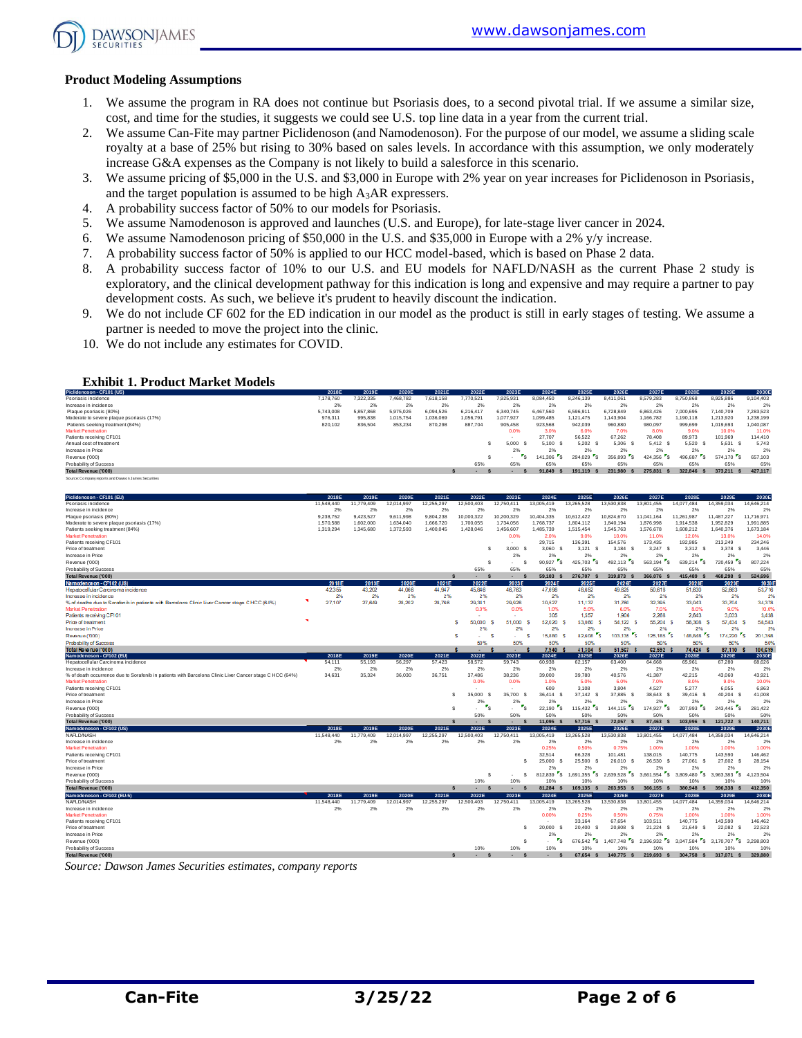

#### **Product Modeling Assumptions**

- 1. We assume the program in RA does not continue but Psoriasis does, to a second pivotal trial. If we assume a similar size, cost, and time for the studies, it suggests we could see U.S. top line data in a year from the current trial.
- 2. We assume Can-Fite may partner Piclidenoson (and Namodenoson). For the purpose of our model, we assume a sliding scale royalty at a base of 25% but rising to 30% based on sales levels. In accordance with this assumption, we only moderately increase G&A expenses as the Company is not likely to build a salesforce in this scenario.
- 3. We assume pricing of \$5,000 in the U.S. and \$3,000 in Europe with 2% year on year increases for Piclidenoson in Psoriasis, and the target population is assumed to be high A3AR expressers.
- 4. A probability success factor of 50% to our models for Psoriasis.
- 5. We assume Namodenoson is approved and launches (U.S. and Europe), for late-stage liver cancer in 2024.
- 6. We assume Namodenoson pricing of \$50,000 in the U.S. and \$35,000 in Europe with a 2% y/y increase.
- 7. A probability success factor of 50% is applied to our HCC model-based, which is based on Phase 2 data.
- 8. A probability success factor of 10% to our U.S. and EU models for NAFLD/NASH as the current Phase 2 study is exploratory, and the clinical development pathway for this indication is long and expensive and may require a partner to pay development costs. As such, we believe it's prudent to heavily discount the indication.
- 9. We do not include CF 602 for the ED indication in our model as the product is still in early stages of testing. We assume a partner is needed to move the project into the clinic.
- 10. We do not include any estimates for COVID.

#### **Exhibit 1. Product Market Models**

| Piclidenoson - CF101 (US)                           | 2018E     | 2019E     | 2020E     | 2021E     | 2022E     | 2023E     | 2024E     | 2025E     | 2026E     | 2027E     | 2028E     | 2029E     | 2030E     |
|-----------------------------------------------------|-----------|-----------|-----------|-----------|-----------|-----------|-----------|-----------|-----------|-----------|-----------|-----------|-----------|
| Psoriasis incidence                                 | 7.178.760 | 322.335   | 468.782   | 7.618.158 | 7.770.521 | 925.931   | 8.084.450 | 8.246.139 | 8.411.061 | 8.579.283 | 8.750.868 | 8,925,886 | 9.104.403 |
| Increase in incidence                               | 2%        | 2%        | 2%        | 2%        | 2%        | 2%        | 2%        | 2%        | 2%        | 2%        | 2%        | 2%        | 2%        |
| Plaque psoriasis (80%)                              | 5.743.008 | 5.857.868 | 5.975.026 | 6.094.526 | 6.216.417 | 6.340.745 | 6.467.560 | 6,596.91  | 6.728.849 | 6.863.426 | 000.695   | 7.140.709 | 7.283.523 |
| Moderate to severe plaque psoriasis (17%)           | 976.311   | 995.838   | 1.015.754 | 1.036.069 | 1.056.791 | 1.077.927 | 1,099,485 | 1.121.475 | 1,143,904 | ,166,782  | ,190,118  | 1.213.920 | 1.238.199 |
| Patients seeking treatment (84%)                    | 820,102   | 836,504   | 853,234   | 870,298   | 887.704   | 905,458   | 923.568   | 942,039   | 960,880   | 980,097   | 999,699   | 1,019,693 | 1.040.087 |
| <b>Market Penetration</b>                           |           |           |           |           |           | 0.0%      | 3.0%      | 6.0%      | 7.0%      | 8.0%      | 9.0%      | 10.0%     | 11.0%     |
| Patients receiving CF101                            |           |           |           |           |           |           | 27,707    | 56,522    | 67.262    | 78,408    | 89.973    | 101.969   | 114,410   |
| Annual cost of treatment                            |           |           |           |           |           | 5.000     | 5.100     | 5.202     | 5.306     | 5.412 S   | 5.520     | 5.631     | 5.743     |
| Increase in Price                                   |           |           |           |           |           | 2%        | 2%        | 2%        | 2%        | 2%        | 2%        | 2%        | 2%        |
| Revenue ('000)                                      |           |           |           |           |           | . .       | 141,306   | 294.029   | 356,893   | 424,356   | 496.687   | 574.170 S | 657.103   |
| Probability of Success                              |           |           |           |           | 65%       | 65%       | 65%       | 65%       | 65%       | 65%       | 65%       | 65%       | 65%       |
| Total Revenue ('000)                                |           |           |           |           |           |           | 91.849    | 191.119   | 231.980   | 275,831   | 322.846   | 373.211   | 427,117   |
| Source: Company reports and Dawson James Securities |           |           |           |           |           |           |           |           |           |           |           |           |           |

| Piclidenoson - CF101 (EU)                                                                               | 2018E      | 2019E      | 2020E      | 2021E        | 2022E                  | 2023E                                               | 2024E                               | 2025E                                | 2026E                                  | 2027E                              | 2028E                                | 2029E                                | 2030E          |
|---------------------------------------------------------------------------------------------------------|------------|------------|------------|--------------|------------------------|-----------------------------------------------------|-------------------------------------|--------------------------------------|----------------------------------------|------------------------------------|--------------------------------------|--------------------------------------|----------------|
| Psoriasis incidence                                                                                     | 11,548,440 | 11,779,409 | 12.014.997 | 12,255,297   | 12.500.403             | 12.750.411                                          | 13,005,419                          | 13,265,528                           | 13,530,838                             | 13,801,455                         | 14.077.484                           | 14,359,034                           | 14,646.214     |
| Increase in incidence                                                                                   | 2%         | 2%         | 2%         | 2%           | 2%                     | 2%                                                  | 2%                                  | 2%                                   | 2%                                     | 2%                                 | 2%                                   | 2%                                   | 2%             |
| Plague psoriasis (80%)                                                                                  | 9.238.752  | 9.423.527  | 9.611.998  | 9.804.238    | 10.000.322             | 10.200.329                                          | 10.404.335                          | 10.612.422                           | 10.824.670                             | 11.041.164                         | 11.261.987                           | 11,487,227                           | 11.716.971     |
| Moderate to severe plaque psoriasis (17%)                                                               | 1,570,588  | 1,602,000  | 1,634,040  | 1,666,720    | 1,700,055              | 1,734,056                                           | 1,768,737                           | 1,804,112                            | 1,840,194                              | 1,876,998                          | 1,914,538                            | 1,952,829                            | 1,991,885      |
| Patients seeking treatment (84%)                                                                        | 1,319,294  | 1,345,680  | 1,372,593  | 1,400,045    | 1,428,046              | 1,456,607                                           | 1,485,739                           | 1,515,454                            | 1,545,763                              | 1,576,678                          | 1,608,212                            | 1,640,376                            | 1,673,184      |
| <b>Market Penetration</b>                                                                               |            |            |            |              |                        | 0.0%                                                | 2.0%                                | 9.0%                                 | 10.0%                                  | 11.0%                              | 12.0%                                | 13.0%                                | 14.0%          |
| Patients receiving CF101                                                                                |            |            |            |              |                        |                                                     | 29.715                              | 136,391                              | 154,576                                | 173,435                            | 192,985                              | 213,249                              | 234,246        |
| Price of treatment                                                                                      |            |            |            |              | s                      | 3.000<br>- \$                                       | 3.060 \$                            | $3,121$ \$                           | $3,184$ \$                             | 3,247<br>s                         | 3.312 S                              | 3.378 S                              | 3.446          |
| Increase in Price                                                                                       |            |            |            |              |                        | 2%                                                  | 2%                                  | 2%                                   | 2%                                     | 2%                                 | 2%                                   | 2%                                   | 2%             |
| Revenue ('000)                                                                                          |            |            |            |              | s                      | \$.<br>$\overline{\phantom{a}}$                     | $\mathbf{r}_\mathsf{S}$<br>90.927   | $\mathbf{r}_\mathbf{S}$<br>425.703   | $\mathbf{r}_\mathbf{S}$<br>492.113     | $\mathbf{r}_\mathbf{S}$<br>563,194 | 639,214 5                            | 720,459 \$                           | 807,224        |
| Probability of Success                                                                                  |            |            |            |              | 65%                    | 65%                                                 | 65%                                 | 65%                                  | 65%                                    | 65%                                | 65%                                  | 65%                                  | 65%            |
| Total Revenue ('000)                                                                                    |            |            |            | $\mathbf{s}$ | $\mathbf{s}$<br>$\sim$ | $\mathbf{s}$<br>$\sim$                              | $59,103$ \$                         | 276,707 \$                           | 319,873 \$                             | 366,076 \$                         | 415,489 \$                           | 468.298 \$                           | 524,696        |
| Namodenos on - CF1 02 (US)                                                                              | 2018E      | 2019E      | 2020E      | 2021E        | 2022E                  | 2023E                                               | 2024E                               | 2025E                                | 2026E                                  | 2027E                              | 2028E                                | 2029E                                | 20305          |
| Hepatocellular Carcinoma incidence                                                                      | 42,355     | 43,202     | 44,066     | 44.947       | 45,846                 | 46,763                                              | 47,698                              | 48,652                               | 49.625                                 | 50,618                             | 51,630                               | 52,663                               | 53,716         |
| Increase in incidence                                                                                   | 2%         | 2%         | 2%         | 2%           | 2%                     | 2%                                                  | 2%                                  | 2%                                   | 2%                                     | 2%                                 | 2%                                   | 2%                                   | 2%             |
| % of deaths due to Sorafenib in patients with Barcelona Clinic Liver Cancer stage CHCC (64%)            | 27,107     | 27,649     | 28,202     | 28,766       | 29,341<br>0.0%         | 29,928<br>0.0%                                      | 30,527                              | 31.137<br>5.0%                       | 31,760<br>6.0%                         | 32,395                             | 33,043                               | 33,704<br>9.0%                       | 34,378         |
| Market Penetration<br>Patients receiving CF101                                                          |            |            |            |              |                        |                                                     | 1.0%<br>305                         | 1,557                                | 1,906                                  | 7.0%<br>2,268                      | 8.0%<br>2.643                        | 3.033                                | 10.0%<br>3,438 |
|                                                                                                         | ×          |            |            |              |                        |                                                     |                                     |                                      |                                        |                                    |                                      |                                      |                |
| Price of treatment<br><b>Increase</b> in Price                                                          |            |            |            |              | 50,000<br>s<br>2%      | 51,000<br>2%                                        | 52.020<br>s<br>2%                   | 53,060<br>s<br>2%                    | 54.122 S<br>2%                         | 55.204 S<br>2%                     | 56,308<br>2%                         | 57,434<br>s<br>2%                    | 58,583<br>2%   |
| Revenue ('000)                                                                                          |            |            |            |              | s<br>a.                | s<br>$\sim$                                         | 15,880<br>s                         | 82.608<br>s                          | 103,135                                | i Ts<br>125,185 S                  | 148,848                              | 174,220 S<br>r.                      | 201,398        |
| Probability of Success                                                                                  |            |            |            |              | 50%                    | 50%                                                 | 50%                                 | 50%                                  | 50%                                    | 50%                                | 50%                                  | 50%                                  | 50%            |
| Total Revenue ('000)                                                                                    |            |            |            |              | ٠                      | ٠                                                   | 7.940                               | 41.304 \$                            | 51,567 \$                              | 62.592 \$                          | 74.424                               | 87,110                               | 100,639        |
| Namodenoson - CF102 (EU)                                                                                | 2018E      | 2019E      | 2020E      | 2021E        | 2022E                  | 2023E                                               | 2024E                               | 2025E                                | 2026E                                  | 2027E                              | 2028E                                | 2029E                                | 2030E          |
| Hepatocellular Carcinoma incidence                                                                      | 54,111     | 55,193     | 56,297     | 57,423       | 58,572                 | 59,743                                              | 60,938                              | 62,157                               | 63,400                                 | 64,668                             | 65,961                               | 67,280                               | 68,626         |
| Increase in incidence                                                                                   | 2%         | 2%         | 2%         | 2%           | 2%                     | 2%                                                  | 2%                                  | 2%                                   | 2%                                     | 2%                                 | 2%                                   | 2%                                   | 2%             |
| % of death occurrence due to Sorafenib in patients with Barcelona Clinic Liver Cancer stage C HCC (64%) | 34,631     | 35.324     | 36,030     | 36.751       | 37,486                 | 38.236                                              | 39,000                              | 39,780                               | 40,576                                 | 41,387                             | 42.215                               | 43,060                               | 43,921         |
| <b>Market Penetration</b>                                                                               |            |            |            |              | 0.0%                   | 0.0%                                                | 1.0%                                | 5.0%                                 | 6.0%                                   | 7.0%                               | 8.0%                                 | 9.0%                                 | 10.0%          |
| Patients receiving CF101                                                                                |            |            |            |              |                        |                                                     | 609                                 | 3,108                                | 3.804                                  | 4,527                              | 5.277                                | 6.055                                | 6,863          |
| Price of treatment                                                                                      |            |            |            | s            | 35,000<br>-S           | 35,700<br>s                                         | 36.414<br>- 5                       | 37,142 \$                            | 37,885<br>- S                          | 38,643<br>- 5                      | 39.416 S                             | 40,204 \$                            | 41,008         |
| Increase in Price                                                                                       |            |            |            |              | 2%                     | 2%                                                  | 2%                                  | 2%                                   | 2%                                     | 2%                                 | 2%                                   | 2%                                   | 2%             |
| Revenue ('000)                                                                                          |            |            |            | s            | $r_{\rm s}$<br>ă.      | $\mathbf{r}_\mathbf{S}$<br>$\overline{\phantom{a}}$ | $\mathbf{r}_{\mathsf{S}}$<br>22.190 | •s.<br>115,432                       | $\mathbf{r}_{\mathsf{S}}$<br>144,115   | 174.927 S                          | $\mathbf{r}_\mathbf{S}$<br>207.993   | $243,445$ \$                         | 281.422        |
| Probability of Success                                                                                  |            |            |            |              | 50%                    | 50%                                                 | 50%                                 | 50%                                  | 50%                                    | 50%                                | 50%                                  | 50%                                  | 50%            |
| <b>Total Revenue ('000)</b>                                                                             |            |            |            | $\mathbf{s}$ | <b>S</b><br>×.         | $\mathbf{s}$<br>$\sim$                              | 11.095 \$                           | 57.716 \$                            | 72.057 \$                              | 87,463 \$                          | 103.996 \$                           | 121.722 \$                           | 140,711        |
| Namodenoson - CF102 (US)                                                                                | 2018E      | 2019E      | 2020E      | 2021E        | 2022E                  | 2023E                                               | 2024E                               | 2025E                                | 2026E                                  | 2027E                              | 2028E                                | 2029E                                | 2030E          |
| NAFLD/NASH                                                                                              | 11,548,440 | 11,779,409 | 12,014,997 | 12,255,297   | 12,500,403             | 12,750,411                                          | 13,005,419                          | 13,265,528                           | 13,530,838                             | 13,801,455                         | 14,077,484                           | 14,359,034                           | 14,646,214     |
| Increase in incidence                                                                                   | 2%         | 2%         | 2%         | 2%           | 2%                     | 2%                                                  | 2%                                  | 2%                                   | 2%                                     | 2%                                 | 2%                                   | 2%                                   | 2%             |
| <b>Market Penetration</b>                                                                               |            |            |            |              |                        |                                                     | 0.25%                               | 0.50%                                | 0.75%                                  | 1.00%                              | 1.00%                                | 1.00%                                | 1.00%          |
| Patients receiving CF101                                                                                |            |            |            |              |                        |                                                     | 32.514                              | 66,328                               | 101,481                                | 138,015                            | 140,775                              | 143,590                              | 146,462        |
| Price of treatment                                                                                      |            |            |            |              |                        | s                                                   | 25,000 \$                           | 25,500 \$                            | 26,010 \$                              | 26,530 \$                          | 27,061<br>- S                        | 27,602 \$                            | 28,154         |
| Increase in Price                                                                                       |            |            |            |              |                        |                                                     | 2%                                  | 2%                                   | 2%                                     | 2%                                 | 2%                                   | 2%                                   | 2%             |
| Revenue ('000)                                                                                          |            |            |            |              | s                      | s                                                   | $\cdot$ $\cdot$<br>812.839          | $\cdot$ $\cdot$ $\cdot$<br>1.691.355 | $\mathbf{r}_\mathbf{S}$<br>2.639.528   | $3.661.554$ S                      | $\mathbf{r}_\mathbf{S}$<br>3,809,480 | $\mathbf{r}_\mathbf{S}$<br>3.963.383 | 4.123.504      |
| Probability of Success                                                                                  |            |            |            |              | 10%                    | 10%                                                 | 10%                                 | 10%                                  | 10%                                    | 10%                                | 10%                                  | 10%                                  | 10%            |
| <b>Total Revenue ('000)</b>                                                                             |            |            |            | $\mathbf{s}$ | $\sim$<br>s            | $\sim$<br>s                                         | 81.284 \$                           | 169.135 \$                           | 263.953 \$                             | 366,155 S                          | 380.948 \$                           | 396,338 \$                           | 412,350        |
| Namodenoson - CF102 (EU-5)                                                                              | 2018E      | 2019E      | 2020E      | 2021E        | 2022E                  | 2023E                                               | 2024E                               | 2025E                                | 2026E                                  | 2027E                              | 2028E                                | 2029E                                | 2030E          |
| NAFLD/NASH                                                                                              | 11,548,440 | 11,779,409 | 12.014.997 | 12,255,297   | 12,500,403             | 12.750.411                                          | 13,005,419                          | 13,265,528                           | 13,530,838                             | 13,801,455                         | 14,077,484                           | 14,359,034                           | 14,646,214     |
| Increase in incidence                                                                                   | 2%         | 2%         | 2%         | 2%           | 2%                     | 2%                                                  | 2%                                  | 2%                                   | 2%                                     | 2%                                 | 2%                                   | 2%                                   | 2%             |
| <b>Market Penetration</b>                                                                               |            |            |            |              |                        |                                                     | 0.00%                               | 0.25%                                | 0.50%                                  | 0.75%                              | 1.00%                                | 1.00%                                | 1.00%          |
| Patients receiving CF101                                                                                |            |            |            |              |                        |                                                     |                                     | 33,164                               | 67,654                                 | 103,511                            | 140,775                              | 143,590                              | 146,462        |
| Price of treatment                                                                                      |            |            |            |              |                        | s                                                   | 20,000 \$                           | 20.400 S                             | 20,808<br>s                            | 21,224 \$                          | 21.649<br>- S                        | 22,082<br>-S                         | 22,523         |
| Increase in Price                                                                                       |            |            |            |              |                        |                                                     | 2%                                  | 2%                                   | 2%                                     | 2%                                 | 2%                                   | 2%                                   | 2%             |
| Revenue ('000)                                                                                          |            |            |            |              |                        | s                                                   | $\mathbf{r}_\mathsf{S}$             | 676,542                              | S 1.407.748<br>$\mathbf{r}_\mathbf{S}$ | 2,196,932 S                        | $\cdot$ $\cdot$ $\cdot$<br>3,047,584 | $\mathbf{r}_\mathbf{s}$<br>3,170,707 | 3.298.803      |
| Probability of Success                                                                                  |            |            |            |              | 10%                    | 10%                                                 | 10%                                 | 10%                                  | 10%                                    | 10%                                | 10%                                  | 10%                                  | 10%            |
| <b>Total Revenue ('000)</b>                                                                             |            |            |            | $\mathbf{s}$ | $\mathbf{s}$<br>٠      | s                                                   | $\mathbf{s}$                        | 67.654 \$                            | 140.775 \$                             | 219.693 S                          | 304.758 \$                           | 317.071 \$                           | 329,880        |

*Source: Dawson James Securities estimates, company reports*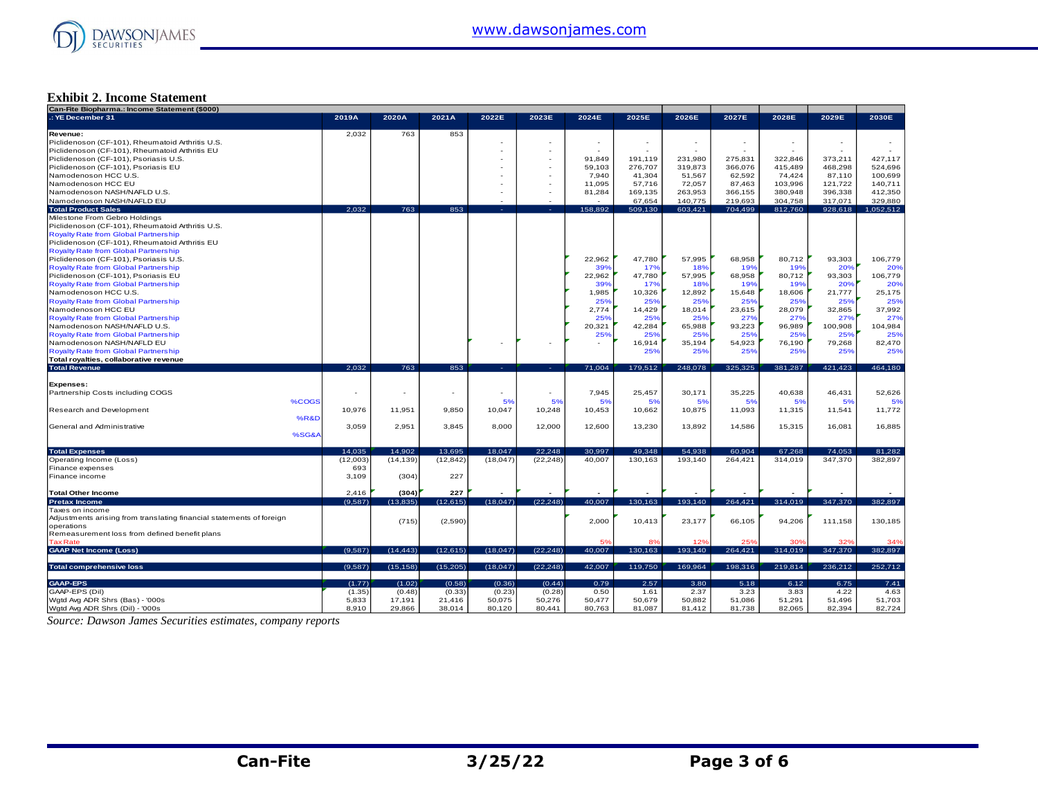

#### **Exhibit 2. Income Statement**

| Can-Fite Biopharma.: Income Statement (\$000)                        |                |                          |                  |                  |                  |                  |                          |                  |                  |                  |                  |                  |
|----------------------------------------------------------------------|----------------|--------------------------|------------------|------------------|------------------|------------------|--------------------------|------------------|------------------|------------------|------------------|------------------|
| .: YE December 31                                                    | 2019A          | 2020A                    | 2021A            | 2022E            | 2023E            | 2024E            | 2025E                    | 2026E            | 2027E            | 2028E            | 2029E            | 2030E            |
|                                                                      |                |                          |                  |                  |                  |                  |                          |                  |                  |                  |                  |                  |
| Revenue:                                                             | 2,032          | 763                      | 853              |                  |                  |                  |                          |                  |                  |                  |                  |                  |
| Piclidenoson (CF-101), Rheumatoid Arthritis U.S.                     |                |                          |                  |                  |                  | $\sim$           | $\overline{\phantom{a}}$ |                  |                  |                  |                  |                  |
| Piclidenoson (CF-101), Rheumatoid Arthritis EU                       |                |                          |                  |                  |                  | $\sim$           | $\sim$                   |                  | $\sim$           |                  | $\sim$           |                  |
| Piclidenoson (CF-101), Psoriasis U.S.                                |                |                          |                  |                  |                  | 91.849           | 191,119                  | 231,980          | 275,831          | 322,846          | 373.211          | 427,117          |
|                                                                      |                |                          |                  |                  |                  | 59.103           |                          |                  |                  |                  | 468.298          |                  |
| Piclidenoson (CF-101), Psoriasis EU                                  |                |                          |                  |                  |                  |                  | 276,707                  | 319,873          | 366,076          | 415,489          |                  | 524,696          |
| Namodenoson HCC U.S.                                                 |                |                          |                  |                  |                  | 7,940            | 41,304                   | 51,567           | 62,592           | 74,424           | 87,110           | 100,699          |
| Namodenoson HCC EU                                                   |                |                          |                  |                  |                  | 11,095           | 57,716                   | 72,057           | 87,463           | 103,996          | 121,722          | 140,711          |
| Namodenoson NASH/NAFLD U.S.                                          |                |                          |                  |                  |                  | 81,284           | 169,135                  | 263,953          | 366,155          | 380,948          | 396.338          | 412,350          |
| Namodenoson NASH/NAFLD EU                                            |                |                          |                  |                  |                  |                  | 67.654                   | 140,775          | 219.693          | 304,758          | 317.071          | 329,880          |
| <b>Total Product Sales</b>                                           | 2.032          | 763                      | 853              |                  |                  | 158.892          | 509,130                  | 603,421          | 704,499          | 812,760          | 928,618          | 1,052,512        |
| Milestone From Gebro Holdings                                        |                |                          |                  |                  |                  |                  |                          |                  |                  |                  |                  |                  |
| Piclidenoson (CF-101), Rheumatoid Arthritis U.S.                     |                |                          |                  |                  |                  |                  |                          |                  |                  |                  |                  |                  |
| <b>Royalty Rate from Global Partnership</b>                          |                |                          |                  |                  |                  |                  |                          |                  |                  |                  |                  |                  |
|                                                                      |                |                          |                  |                  |                  |                  |                          |                  |                  |                  |                  |                  |
| Piclidenoson (CF-101), Rheumatoid Arthritis EU                       |                |                          |                  |                  |                  |                  |                          |                  |                  |                  |                  |                  |
| <b>Royalty Rate from Global Partnership</b>                          |                |                          |                  |                  |                  |                  |                          |                  |                  |                  |                  |                  |
| Piclidenoson (CF-101), Psoriasis U.S.                                |                |                          |                  |                  |                  | 22,962           | 47,780                   | 57,995           | 68,958           | 80,712           | 93,303           | 106,779          |
| Royalty Rate from Global Partnership                                 |                |                          |                  |                  |                  | 39%              | 17%                      | 18%              | 19%              | 19%              | 20%              | 20%              |
| Piclidenoson (CF-101), Psoriasis EU                                  |                |                          |                  |                  |                  | 22,962           | 47,780                   | 57,995           | 68,958           | 80,712           | 93,303           | 106,779          |
| <b>Royalty Rate from Global Partnership</b>                          |                |                          |                  |                  |                  | 39%              | 17%                      | 18%              | 19%              | 19%              | 20%              | 20%              |
| Namodenoson HCC U.S.                                                 |                |                          |                  |                  |                  | 1,985            | 10,326                   | 12,892           | 15,648           | 18,606           | 21,777           | 25,175           |
| <b>Royalty Rate from Global Partnership</b>                          |                |                          |                  |                  |                  | 25%              | 25%                      | 25%              | 25%              | 25%              | 25%              |                  |
|                                                                      |                |                          |                  |                  |                  |                  |                          |                  |                  |                  |                  | 25%              |
| Namodenoson HCC EU                                                   |                |                          |                  |                  |                  | 2,774            | 14,429                   | 18,014           | 23,615           | 28,079           | 32,865           | 37,992           |
| <b>Royalty Rate from Global Partnership</b>                          |                |                          |                  |                  |                  | 25%              | 25%                      | 25%              | 27%              | 27%              | 27%              | 27%              |
| Namodenoson NASH/NAFLD U.S.                                          |                |                          |                  |                  |                  | 20,321           | 42,284                   | 65,988           | 93,223           | 96,989           | 100,908          | 104,984          |
| <b>Royalty Rate from Global Partnership</b>                          |                |                          |                  |                  |                  | 25%              | 25%                      | 25%              | 25%              | 25%              | 25%              | 25%              |
| Namodenoson NASH/NAFLD EU                                            |                |                          |                  |                  |                  |                  | 16,914                   | 35,194           | 54,923           | 76.190           | 79,268           | 82,470           |
| <b>Royalty Rate from Global Partnership</b>                          |                |                          |                  |                  |                  |                  | 25%                      | 25%              | 25%              | 25%              | 25%              | 25%              |
| Total royalties, collaborative revenue                               |                |                          |                  |                  |                  |                  |                          |                  |                  |                  |                  |                  |
| <b>Total Revenue</b>                                                 | 2.032          | 763                      | 853              | real             |                  | 71,004           | 179,512                  | 248,078          | 325,325          | 381,287          | 421,423          | 464,180          |
|                                                                      |                |                          |                  |                  |                  |                  |                          |                  |                  |                  |                  |                  |
|                                                                      |                |                          |                  |                  |                  |                  |                          |                  |                  |                  |                  |                  |
| Expenses:                                                            |                |                          |                  |                  |                  |                  |                          |                  |                  |                  |                  |                  |
| Partnership Costs including COGS                                     | ٠              | $\overline{\phantom{a}}$ |                  |                  |                  | 7,945            | 25,457                   | 30,171           | 35,225           | 40,638           | 46,431           | 52,626           |
| %COGS                                                                |                |                          |                  | 5%               | 5%               | 5%               | 5%                       | 5%               | 5%               | 5%               | 5%               | 5%               |
| Research and Development                                             | 10,976         | 11,951                   | 9,850            | 10,047           | 10,248           | 10,453           | 10,662                   | 10,875           | 11,093           | 11,315           | 11,541           | 11,772           |
| %R&D                                                                 |                |                          |                  |                  |                  |                  |                          |                  |                  |                  |                  |                  |
| General and Administrative                                           | 3,059          | 2,951                    | 3,845            | 8,000            | 12,000           | 12,600           | 13,230                   | 13,892           | 14,586           | 15,315           | 16,081           | 16,885           |
| %SG&A                                                                |                |                          |                  |                  |                  |                  |                          |                  |                  |                  |                  |                  |
|                                                                      |                |                          |                  |                  |                  |                  |                          |                  |                  |                  |                  |                  |
| <b>Total Expenses</b>                                                | 14,035         | 14,902                   | 13,695           | 18.047           | 22,248           | 30,997           | 49,348                   | 54,938           | 60,904           | 67,268           | 74,053           | 81,282           |
|                                                                      | (12,003)       | (14.139)                 | (12, 842)        | (18, 047)        | (22.248)         | 40.007           | 130.163                  | 193.140          | 264.421          | 314.019          | 347.370          | 382.897          |
| Operating Income (Loss)                                              |                |                          |                  |                  |                  |                  |                          |                  |                  |                  |                  |                  |
| Finance expenses                                                     | 693            |                          |                  |                  |                  |                  |                          |                  |                  |                  |                  |                  |
| Finance income                                                       | 3,109          | (304)                    | 227              |                  |                  |                  |                          |                  |                  |                  |                  |                  |
|                                                                      |                |                          |                  |                  |                  |                  |                          |                  |                  |                  |                  |                  |
| <b>Total Other Income</b>                                            | 2,416          | (304)                    | 227              |                  |                  |                  |                          |                  |                  |                  |                  |                  |
| <b>Pretax Income</b>                                                 | (9,587)        | (13, 835)                | (12, 615)        | (18,047)         | (22, 248)        | 40,007           | 130,163                  | 193,140          | 264,421          | 314,019          | 347,370          | 382.897          |
| Taxes on income                                                      |                |                          |                  |                  |                  |                  |                          |                  |                  |                  |                  |                  |
| Adjustments arising from translating financial statements of foreign |                |                          |                  |                  |                  |                  |                          |                  |                  |                  |                  |                  |
| operations                                                           |                |                          |                  |                  |                  | 2,000            | 10,413                   | 23,177           | 66,105           | 94,206           | 111,158          | 130,185          |
|                                                                      |                | (715)                    | (2,590)          |                  |                  |                  |                          |                  |                  |                  |                  |                  |
|                                                                      |                |                          |                  |                  |                  |                  |                          |                  |                  |                  |                  |                  |
| Remeasurement loss from defined benefit plans                        |                |                          |                  |                  |                  |                  |                          |                  |                  |                  |                  |                  |
| <b>Tax Rate</b>                                                      |                |                          |                  |                  |                  | 5%               |                          | 12%              | 25%              | 30%              | 32%              | 34%              |
| <b>GAAP Net Income (Loss)</b>                                        | (9,587)        | (14, 443)                | (12, 615)        | (18,047)         | (22, 248)        | 40,007           | 130,163                  | 193,140          | 264,421          | 314,019          | 347,370          | 382,897          |
|                                                                      |                |                          |                  |                  |                  |                  |                          |                  |                  |                  |                  |                  |
| <b>Total comprehensive loss</b>                                      | (9,587)        | (15, 158)                | (15, 205)        | (18,047)         | (22, 248)        | 42,007           | 119,750                  | 169,964          | 198,316          | 219,814          | 236,212          | 252,712          |
|                                                                      |                |                          |                  |                  |                  |                  |                          |                  |                  |                  |                  |                  |
| <b>GAAP-EPS</b>                                                      | (1.77)         | (1.02)                   | (0.58)           | (0.36)           | (0.44)           | 0.79             | 2.57                     | 3.80             | 5.18             | 6.12             | 6.75             | 7.41             |
| GAAP-EPS (Dil)                                                       | (1.35)         | (0.48)                   | (0.33)           | (0.23)           | (0.28)           | 0.50             | 1.61                     | 2.37             | 3.23             | 3.83             | 4.22             | 4.63             |
| Wgtd Avg ADR Shrs (Bas) - '000s<br>Wgtd Avg ADR Shrs (Dil) - '000s   | 5,833<br>8,910 | 17,191<br>29,866         | 21,416<br>38,014 | 50,075<br>80,120 | 50,276<br>80,441 | 50,477<br>80,763 | 50,679<br>81,087         | 50,882<br>81,412 | 51,086<br>81,738 | 51,291<br>82,065 | 51,496<br>82.394 | 51,703<br>82,724 |

*Source: Dawson James Securities estimates, company reports*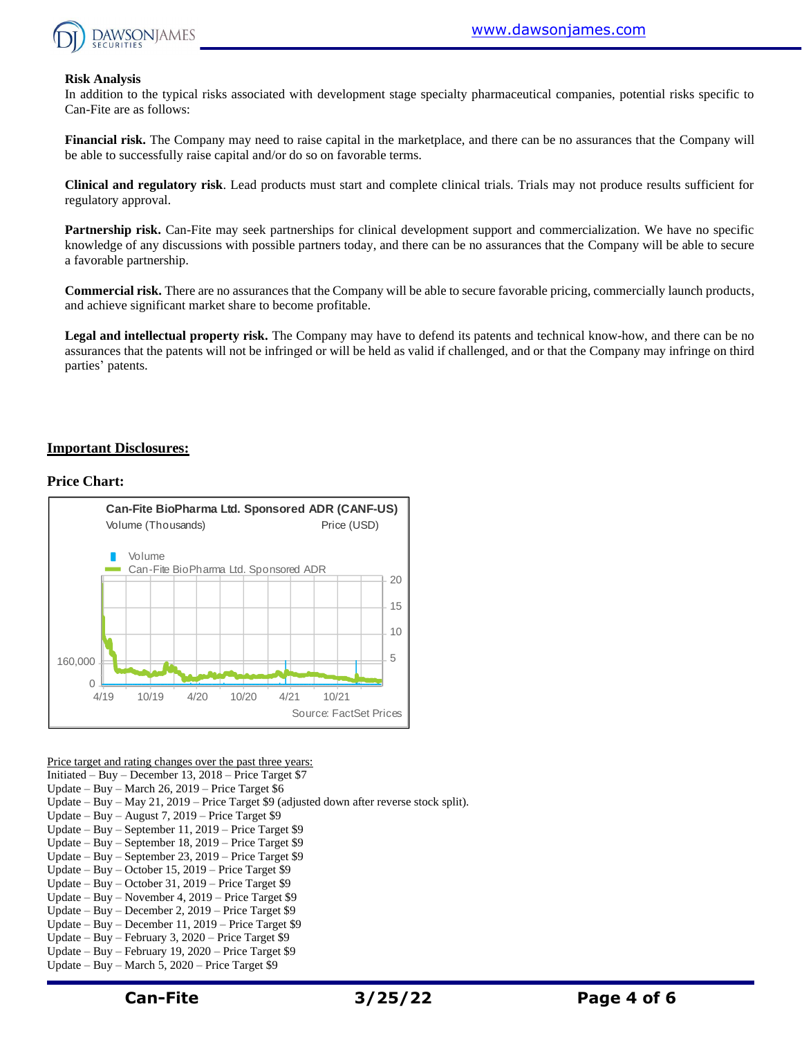

#### **Risk Analysis**

In addition to the typical risks associated with development stage specialty pharmaceutical companies, potential risks specific to Can-Fite are as follows:

**Financial risk.** The Company may need to raise capital in the marketplace, and there can be no assurances that the Company will be able to successfully raise capital and/or do so on favorable terms.

**Clinical and regulatory risk**. Lead products must start and complete clinical trials. Trials may not produce results sufficient for regulatory approval.

**Partnership risk.** Can-Fite may seek partnerships for clinical development support and commercialization. We have no specific knowledge of any discussions with possible partners today, and there can be no assurances that the Company will be able to secure a favorable partnership.

**Commercial risk.** There are no assurances that the Company will be able to secure favorable pricing, commercially launch products, and achieve significant market share to become profitable.

**Legal and intellectual property risk.** The Company may have to defend its patents and technical know-how, and there can be no assurances that the patents will not be infringed or will be held as valid if challenged, and or that the Company may infringe on third parties' patents.

#### **Important Disclosures:**

#### **Price Chart:**



Price target and rating changes over the past three years:

Initiated – Buy – December 13, 2018 – Price Target \$7

Update – Buy – March 26, 2019 – Price Target \$6

Update – Buy – May 21, 2019 – Price Target \$9 (adjusted down after reverse stock split).

- Update Buy August 7, 2019 Price Target \$9
- Update Buy September 11, 2019 Price Target \$9
- Update Buy September 18, 2019 Price Target \$9
- Update Buy September 23, 2019 Price Target \$9
- Update Buy October 15, 2019 Price Target \$9
- Update Buy October 31, 2019 Price Target \$9
- Update Buy November 4, 2019 Price Target \$9 Update – Buy – December 2, 2019 – Price Target \$9
- Update Buy December 11, 2019 Price Target \$9
- Update Buy February 3, 2020 Price Target \$9
- Update Buy February 19, 2020 Price Target \$9
- Update Buy March 5, 2020 Price Target \$9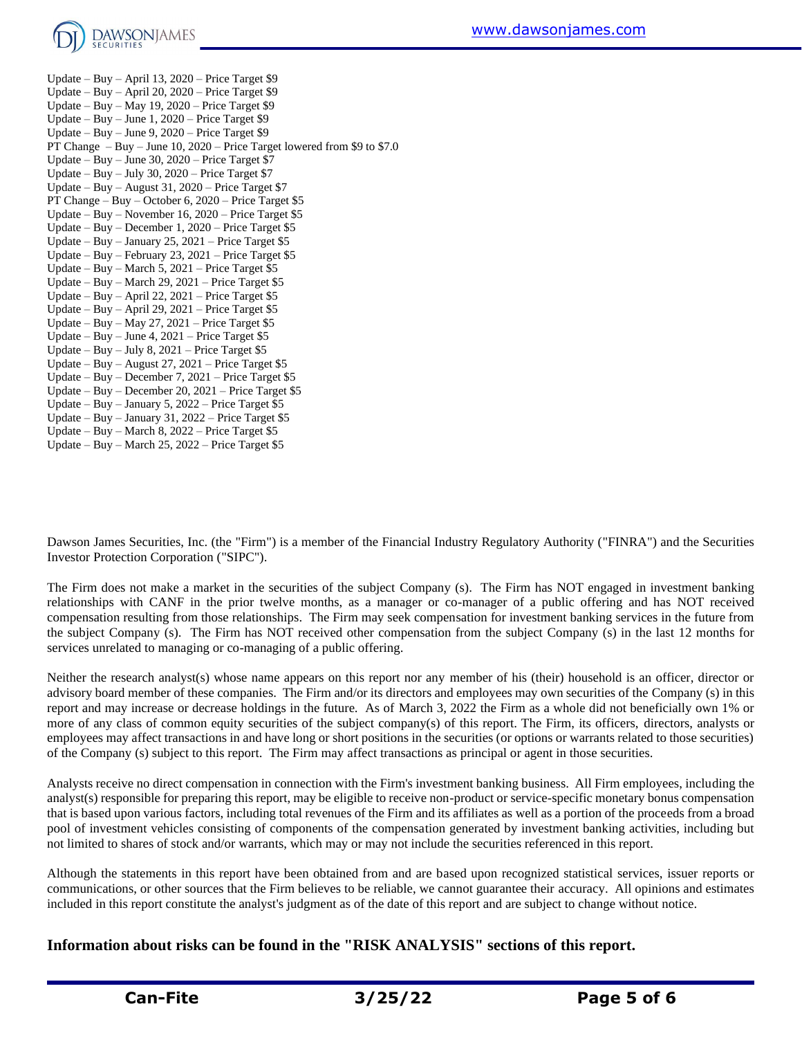

Update – Buy – April 13, 2020 – Price Target \$9 Update – Buy – April 20, 2020 – Price Target \$9 Update – Buy – May 19, 2020 – Price Target \$9 Update – Buy – June 1, 2020 – Price Target \$9 Update – Buy – June 9, 2020 – Price Target \$9 PT Change – Buy – June 10, 2020 – Price Target lowered from \$9 to \$7.0 Update – Buy – June 30, 2020 – Price Target \$7 Update – Buy – July 30, 2020 – Price Target \$7 Update – Buy – August 31, 2020 – Price Target \$7 PT Change – Buy – October 6, 2020 – Price Target \$5 Update – Buy – November 16, 2020 – Price Target \$5 Update – Buy – December 1, 2020 – Price Target \$5 Update – Buy – January 25, 2021 – Price Target  $$5$ Update – Buy – February 23, 2021 – Price Target  $$5$ Update – Buy – March 5, 2021 – Price Target \$5 Update – Buy – March 29, 2021 – Price Target \$5 Update – Buy – April 22, 2021 – Price Target \$5 Update – Buy – April 29, 2021 – Price Target \$5 Update – Buy – May 27, 2021 – Price Target \$5 Update – Buy – June 4, 2021 – Price Target \$5 Update – Buy – July 8,  $2021$  – Price Target \$5 Update – Buy – August 27, 2021 – Price Target  $$5$ Update – Buy – December 7, 2021 – Price Target \$5 Update – Buy – December 20, 2021 – Price Target \$5 Update – Buy – January 5, 2022 – Price Target \$5 Update – Buy – January 31, 2022 – Price Target \$5 Update – Buy – March 8, 2022 – Price Target \$5

Update – Buy – March 25, 2022 – Price Target \$5

Dawson James Securities, Inc. (the "Firm") is a member of the Financial Industry Regulatory Authority ("FINRA") and the Securities Investor Protection Corporation ("SIPC").

The Firm does not make a market in the securities of the subject Company (s). The Firm has NOT engaged in investment banking relationships with CANF in the prior twelve months, as a manager or co-manager of a public offering and has NOT received compensation resulting from those relationships. The Firm may seek compensation for investment banking services in the future from the subject Company (s). The Firm has NOT received other compensation from the subject Company (s) in the last 12 months for services unrelated to managing or co-managing of a public offering.

Neither the research analyst(s) whose name appears on this report nor any member of his (their) household is an officer, director or advisory board member of these companies. The Firm and/or its directors and employees may own securities of the Company (s) in this report and may increase or decrease holdings in the future. As of March 3, 2022 the Firm as a whole did not beneficially own 1% or more of any class of common equity securities of the subject company(s) of this report. The Firm, its officers, directors, analysts or employees may affect transactions in and have long or short positions in the securities (or options or warrants related to those securities) of the Company (s) subject to this report. The Firm may affect transactions as principal or agent in those securities.

Analysts receive no direct compensation in connection with the Firm's investment banking business. All Firm employees, including the analyst(s) responsible for preparing this report, may be eligible to receive non-product or service-specific monetary bonus compensation that is based upon various factors, including total revenues of the Firm and its affiliates as well as a portion of the proceeds from a broad pool of investment vehicles consisting of components of the compensation generated by investment banking activities, including but not limited to shares of stock and/or warrants, which may or may not include the securities referenced in this report.

Although the statements in this report have been obtained from and are based upon recognized statistical services, issuer reports or communications, or other sources that the Firm believes to be reliable, we cannot guarantee their accuracy. All opinions and estimates included in this report constitute the analyst's judgment as of the date of this report and are subject to change without notice.

**Information about risks can be found in the "RISK ANALYSIS" sections of this report.**